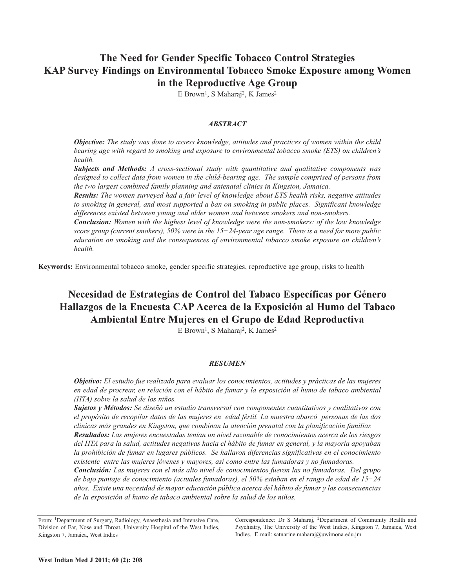## **The Need for Gender Specific Tobacco Control Strategies KAP Survey Findings on Environmental Tobacco Smoke Exposure among Women in the Reproductive Age Group**

E Brown<sup>1</sup>, S Maharaj<sup>2</sup>, K James<sup>2</sup>

#### *ABSTRACT*

*Objective: The study was done to assess knowledge, attitudes and practices of women within the child bearing age with regard to smoking and exposure to environmental tobacco smoke (ETS) on children's health.*

*Subjects and Methods: A cross-sectional study with quantitative and qualitative components was designed to collect data from women in the child-bearing age. The sample comprised of persons from the two largest combined family planning and antenatal clinics in Kingston, Jamaica.*

*Results: The women surveyed had a fair level of knowledge about ETS health risks, negative attitudes to smoking in general, and most supported a ban on smoking in public places. Significant knowledge differences existed between young and older women and between smokers and non-smokers.*

*Conclusion: Women with the highest level of knowledge were the non-smokers: of the low knowledge* score group (current smokers), 50% were in the  $15-24$ -year age range. There is a need for more public *education on smoking and the consequences of environmental tobacco smoke exposure on children's health.*

**Keywords:** Environmental tobacco smoke, gender specific strategies, reproductive age group, risks to health

# **Necesidad de Estrategias de Control del Tabaco Específicas por Género Hallazgos de la Encuesta CAP Acerca de la Exposición al Humo del Tabaco Ambiental Entre Mujeres en el Grupo de Edad Reproductiva**

E Brown<sup>1</sup>, S Maharaj<sup>2</sup>, K James<sup>2</sup>

## *RESUMEN*

*Objetivo: El estudio fue realizado para evaluar los conocimientos, actitudes y prácticas de las mujeres* en edad de procrear, en relación con el hábito de fumar y la exposición al humo de tabaco ambiental *(HTA) sobre la salud de los niños.*

*Sujetos y Métodos: Se diseñó un estudio transversal con componentes cuantitativos y cualitativos con* el propósito de recopilar datos de las mujeres en edad fértil. La muestra abarcó personas de las dos *clínicas más grandes en Kingston, que combinan la atención prenatal con la planificación familiar.*

*Resultados: Las mujeres encuestadas tenían un nivel razonable de conocimientos acerca de los riesgos* del HTA para la salud, actitudes negativas hacia el hábito de fumar en general, y la mayoría apoyaban *la prohibición de fumar en lugares públicos. Se hallaron diferencias significativas en el conocimiento existente entre las mujeres jóvenes y mayores, así como entre las fumadoras y no fumadoras.*

*Conclusión: Las mujeres con el más alto nivel de conocimientos fueron las no fumadoras. Del grupo de bajo puntaje de conocimiento (actuales fumadoras), el 50% estaban en el rango de edad de 15−24 años. Existe una necesidad de mayor educación pública acerca del hábito de fumar y las consecuencias de la exposición al humo de tabaco ambiental sobre la salud de los niños.*

From: 1Department of Surgery, Radiology, Anaesthesia and Intensive Care, Division of Ear, Nose and Throat, University Hospital of the West Indies, Kingston 7, Jamaica, West Indies

Correspondence: Dr S Maharaj, 2Department of Community Health and Psychiatry, The University of the West Indies, Kingston 7, Jamaica, West Indies. E-mail: satnarine.maharaj@uwimona.edu.jm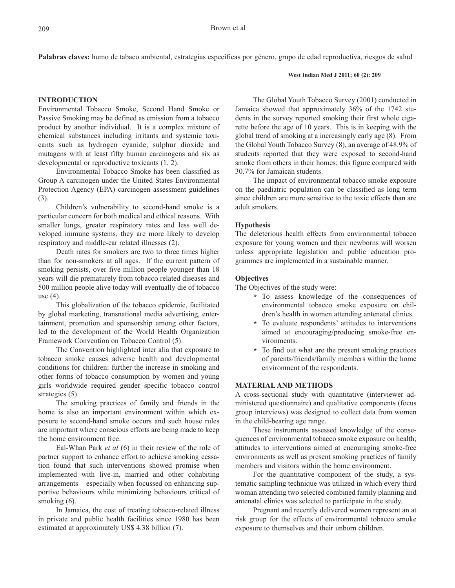**Palabras claves:** humo de tabaco ambiental, estrategias específicas por género, grupo de edad reproductiva, riesgos de salud

#### **West Indian Med J 2011; 60 (2): 209**

## **INTRODUCTION**

Environmental Tobacco Smoke, Second Hand Smoke or Passive Smoking may be defined as emission from a tobacco product by another individual. It is a complex mixture of chemical substances including irritants and systemic toxicants such as hydrogen cyanide, sulphur dioxide and mutagens with at least fifty human carcinogens and six as developmental or reproductive toxicants (1, 2).

Environmental Tobacco Smoke has been classified as Group A carcinogen under the United States Environmental Protection Agency (EPA) carcinogen assessment guidelines (3).

Children's vulnerability to second-hand smoke is a particular concern for both medical and ethical reasons. With smaller lungs, greater respiratory rates and less well developed immune systems, they are more likely to develop respiratory and middle-ear related illnesses (2).

Death rates for smokers are two to three times higher than for non-smokers at all ages. If the current pattern of smoking persists, over five million people younger than 18 years will die prematurely from tobacco related diseases and 500 million people alive today will eventually die of tobacco use (4).

This globalization of the tobacco epidemic, facilitated by global marketing, transnational media advertising, entertainment, promotion and sponsorship among other factors, led to the development of the World Health Organization Framework Convention on Tobacco Control (5).

The Convention highlighted inter alia that exposure to tobacco smoke causes adverse health and developmental conditions for children: further the increase in smoking and other forms of tobacco consumption by women and young girls worldwide required gender specific tobacco control strategies (5).

The smoking practices of family and friends in the home is also an important environment within which exposure to second-hand smoke occurs and such house rules are important where conscious efforts are being made to keep the home environment free.

Eal-Whan Park *et al* (6) in their review of the role of partner support to enhance effort to achieve smoking cessation found that such interventions showed promise when implemented with live-in, married and other cohabiting arrangements – especially when focussed on enhancing supportive behaviours while minimizing behaviours critical of smoking  $(6)$ .

In Jamaica, the cost of treating tobacco-related illness in private and public health facilities since 1980 has been estimated at approximately US\$ 4.38 billion (7).

The Global Youth Tobacco Survey (2001) conducted in Jamaica showed that approximately 36% of the 1742 students in the survey reported smoking their first whole cigarette before the age of 10 years. This is in keeping with the global trend of smoking at a increasingly early age (8). From the Global Youth Tobacco Survey (8), an average of 48.9% of students reported that they were exposed to second-hand smoke from others in their homes; this figure compared with 30.7% for Jamaican students.

The impact of environmental tobacco smoke exposure on the paediatric population can be classified as long term since children are more sensitive to the toxic effects than are adult smokers.

## **Hypothesis**

The deleterious health effects from environmental tobacco exposure for young women and their newborns will worsen unless appropriate legislation and public education programmes are implemented in a sustainable manner.

## **Objectives**

The Objectives of the study were:

- \* To assess knowledge of the consequences of environmental tobacco smoke exposure on children's health in women attending antenatal clinics.
- \* To evaluate respondents' attitudes to interventions aimed at encouraging/producing smoke-free environments.
- \* To find out what are the present smoking practices of parents/friends/family members within the home environment of the respondents.

## **MATERIAL AND METHODS**

A cross-sectional study with quantitative (interviewer administered questionnaire) and qualitative components (focus group interviews) was designed to collect data from women in the child-bearing age range.

These instruments assessed knowledge of the consequences of environmental tobacco smoke exposure on health; attitudes to interventions aimed at encouraging smoke-free environments as well as present smoking practices of family members and visitors within the home environment.

For the quantitative component of the study, a systematic sampling technique was utilized in which every third woman attending two selected combined family planning and antenatal clinics was selected to participate in the study.

Pregnant and recently delivered women represent an at risk group for the effects of environmental tobacco smoke exposure to themselves and their unborn children.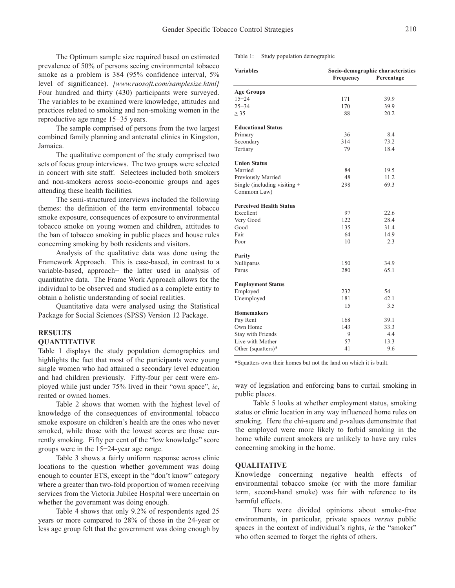The Optimum sample size required based on estimated prevalence of 50% of persons seeing environmental tobacco smoke as a problem is 384 (95% confidence interval, 5% level of significance). *[www.raosoft.com/samplesize.html]* Four hundred and thirty (430) participants were surveyed. The variables to be examined were knowledge, attitudes and practices related to smoking and non-smoking women in the reproductive age range 15−35 years.

The sample comprised of persons from the two largest combined family planning and antenatal clinics in Kingston, Jamaica.

The qualitative component of the study comprised two sets of focus group interviews. The two groups were selected in concert with site staff. Selectees included both smokers and non-smokers across socio-economic groups and ages attending these health facilities.

The semi-structured interviews included the following themes: the definition of the term environmental tobacco smoke exposure, consequences of exposure to environmental tobacco smoke on young women and children, attitudes to the ban of tobacco smoking in public places and house rules concerning smoking by both residents and visitors.

Analysis of the qualitative data was done using the Framework Approach. This is case-based, in contrast to a variable-based, approach− the latter used in analysis of quantitative data. The Frame Work Approach allows for the individual to be observed and studied as a complete entity to obtain a holistic understanding of social realities.

Quantitative data were analysed using the Statistical Package for Social Sciences (SPSS) Version 12 Package.

## **RESULTS**

#### **QUANTITATIVE**

Table 1 displays the study population demographics and highlights the fact that most of the participants were young single women who had attained a secondary level education and had children previously. Fifty-four per cent were employed while just under 75% lived in their "own space", *ie*, rented or owned homes.

Table 2 shows that women with the highest level of knowledge of the consequences of environmental tobacco smoke exposure on children's health are the ones who never smoked, while those with the lowest scores are those currently smoking. Fifty per cent of the "low knowledge" score groups were in the 15−24-year age range.

Table 3 shows a fairly uniform response across clinic locations to the question whether government was doing enough to counter ETS, except in the "don't know" category where a greater than two-fold proportion of women receiving services from the Victoria Jubilee Hospital were uncertain on whether the government was doing enough.

Table 4 shows that only 9.2% of respondents aged 25 years or more compared to 28% of those in the 24-year or less age group felt that the government was doing enough by Table 1: Study population demographic

| <b>Variables</b>               | Socio-demographic characteristics |            |  |
|--------------------------------|-----------------------------------|------------|--|
|                                | Frequency                         | Percentage |  |
| <b>Age Groups</b>              |                                   |            |  |
| $15 - 24$                      | 171                               | 39.9       |  |
| $25 - 34$                      | 170                               | 39.9       |  |
| $\geq$ 35                      | 88                                | 20.2       |  |
| <b>Educational Status</b>      |                                   |            |  |
| Primary                        | 36                                | 8.4        |  |
| Secondary                      | 314                               | 73.2       |  |
| Tertiary                       | 79                                | 18.4       |  |
| <b>Union Status</b>            |                                   |            |  |
| Married                        | 84                                | 19.5       |  |
| Previously Married             | 48                                | 11.2       |  |
| Single (including visiting +   | 298                               | 69.3       |  |
| Commom Law)                    |                                   |            |  |
| <b>Perceived Health Status</b> |                                   |            |  |
| Excellent                      | 97                                | 22.6       |  |
| Very Good                      | 122                               | 28.4       |  |
| Good                           | 135                               | 31.4       |  |
| Fair                           | 64                                | 14.9       |  |
| Poor                           | 10                                | 2.3        |  |
| Parity                         |                                   |            |  |
| Nulliparus                     | 150                               | 34.9       |  |
| Parus                          | 280                               | 65.1       |  |
| <b>Employment Status</b>       |                                   |            |  |
| Employed                       | 232                               | 54         |  |
| Unemployed                     | 181                               | 42.1       |  |
|                                | 15                                | 3.5        |  |
| <b>Homemakers</b>              |                                   |            |  |
| Pay Rent                       | 168                               | 39.1       |  |
| Own Home                       | 143                               | 33.3       |  |
| Stay with Friends              | 9                                 | 4.4        |  |
| Live with Mother               | 57                                | 13.3       |  |
| Other (squatters)*             | 41                                | 9.6        |  |

**\***Squatters own their homes but not the land on which it is built.

way of legislation and enforcing bans to curtail smoking in public places.

Table 5 looks at whether employment status, smoking status or clinic location in any way influenced home rules on smoking. Here the chi-square and *p*-values demonstrate that the employed were more likely to forbid smoking in the home while current smokers are unlikely to have any rules concerning smoking in the home.

## **QUALITATIVE**

Knowledge concerning negative health effects of environmental tobacco smoke (or with the more familiar term, second-hand smoke) was fair with reference to its harmful effects.

There were divided opinions about smoke-free environments, in particular, private spaces *versus* public spaces in the context of individual's rights, *ie* the "smoker" who often seemed to forget the rights of others.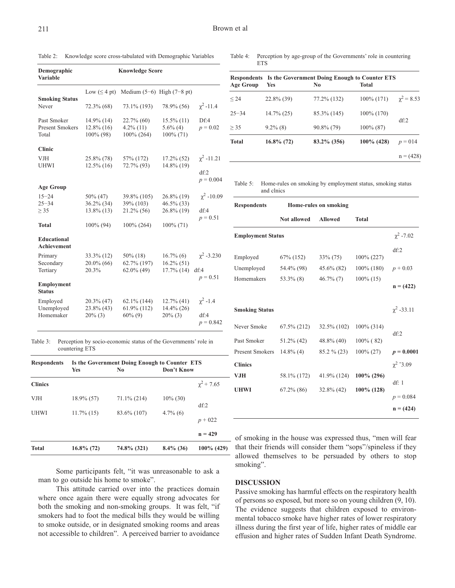211

Table 2: Knowledge score cross-tabulated with Demographic Variables

| Demographic<br>Variable               | <b>Knowledge Score</b>      |                                |                              |                     |
|---------------------------------------|-----------------------------|--------------------------------|------------------------------|---------------------|
|                                       | Low $(\leq 4$ pt)           | Medium $(5-6)$ High $(7-8$ pt) |                              |                     |
| <b>Smoking Status</b><br>Never        | 72.3% (68)                  | 73.1% (193)                    | 78.9% (56)                   | $\chi^2$ -11.4      |
| Past Smoker<br><b>Present Smokers</b> | 14.9% (14)<br>$12.8\%$ (16) | $22.7\%$ (60)<br>$4.2\%$ (11)  | $15.5\%$ (11)<br>$5.6\%$ (4) | Df:4<br>$p = 0.02$  |
| Total                                 | $100\%$ (98)                | 100% (264)                     | 100% (71)                    |                     |
| <b>Clinic</b>                         |                             |                                |                              |                     |
| <b>VJH</b><br><b>UHWI</b>             | 25.8% (78)<br>$12.5\%$ (16) | 57% (172)<br>72.7% (93)        | $17.2\%$ (52)<br>14.8% (19)  | $\chi^2$ -11.21     |
|                                       |                             |                                |                              | df:2<br>$p = 0.004$ |
| <b>Age Group</b>                      |                             |                                |                              |                     |
| $15 - 24$                             | $50\%$ (47)                 | 39.8% (105)                    | 26.8% (19)                   | $\chi^2$ -10.09     |
| $25 - 34$                             | $36.2\%$ (34)               | 39% (103)                      | $46.5\%$ (33)                |                     |
| $\geq$ 35                             | 13.8% (13)                  | $21.2\%$ (56)                  | 26.8% (19)                   | df:4<br>$p = 0.51$  |
| <b>Total</b>                          | 100% (94)                   | 100% (264)                     | $100\%$ (71)                 |                     |
| Educational<br>Achievement            |                             |                                |                              |                     |
| Primary                               | 33.3% (12)                  | $50\%$ (18)                    | $16.7\%$ (6)                 | $\gamma^2$ -3.230   |
| Secondary                             | $20.0\%$ (66)               | 62.7% (197)                    | $16.2\%$ (51)                |                     |
| Tertiary                              | 20.3%                       | $62.0\%$ (49)                  | 17.7% (14)                   | df:4                |
|                                       |                             |                                |                              | $p = 0.51$          |
| <b>Employment</b><br><b>Status</b>    |                             |                                |                              |                     |
| Employed                              | 20.3% (47)                  | $62.1\%$ (144)                 | $12.7\%$ (41)                | $\chi^2$ -1.4       |
| Unemployed<br>Homemaker               | $23.8\%$ (43)<br>$20\%$ (3) | 61.9% (112)<br>$60\%$ (9)      | 14.4% (26)<br>$20\%$ (3)     | df:4<br>$p = 0.842$ |

Table 3: Perception by socio-economic status of the Governments' role in countering ETS

| <b>Respondents</b> | Is the Government Doing Enough to Counter ETS |                |              |                   |  |
|--------------------|-----------------------------------------------|----------------|--------------|-------------------|--|
|                    | <b>Yes</b>                                    | N <sub>0</sub> | Don't Know   |                   |  |
| <b>Clinics</b>     |                                               |                |              | $\chi^2$ + 7.65   |  |
| <b>VJH</b>         | $18.9\%$ (57)                                 | $71.1\%$ (214) | $10\%$ (30)  |                   |  |
| <b>UHWI</b>        | $11.7\%$ (15)                                 | 83.6% (107)    | $4.7\%$ (6)  | df:2<br>$p + 022$ |  |
|                    |                                               |                |              | $n = 429$         |  |
| <b>Total</b>       | $16.8\%$ (72)                                 | 74.8% (321)    | $8.4\%$ (36) | 100% (429)        |  |

Some participants felt, "it was unreasonable to ask a man to go outside his home to smoke".

This attitude carried over into the practices domain where once again there were equally strong advocates for both the smoking and non-smoking groups. It was felt, "if smokers had to foot the medical bills they would be willing to smoke outside, or in designated smoking rooms and areas not accessible to children". A perceived barrier to avoidance

Table 4: Perception by age-group of the Governments' role in countering **ETS** 

| <b>Age Group</b> | <b>Yes</b>    | <b>Respondents</b> Is the Government Doing Enough to Counter ETS<br>No. | <b>Total</b>  |                   |
|------------------|---------------|-------------------------------------------------------------------------|---------------|-------------------|
| $\leq 24$        | 22.8% (39)    | 77.2% (132)                                                             | $100\%$ (171) | $\gamma^2 = 8.53$ |
| $25 - 34$        | $14.7\%$ (25) | 85.3% (145)                                                             | 100\% (170)   | df:2              |
| $\geq$ 35        | $9.2\%$ (8)   | 90.8% (79)                                                              | $100\%$ (87)  |                   |
| <b>Total</b>     | $16.8\%$ (72) | 83.2% (356)                                                             | $100\%$ (428) | $p = 014$         |
|                  |               |                                                                         |               | $n = (428)$       |

Table 5: Home-rules on smoking by employment status, smoking status and clnics

| <b>Respondents</b>       |                    | Home-rules on smoking |                |                      |
|--------------------------|--------------------|-----------------------|----------------|----------------------|
|                          | <b>Not allowed</b> | <b>Allowed</b>        | <b>Total</b>   |                      |
| <b>Employment Status</b> |                    |                       | $\chi^2$ -7.02 |                      |
| Employed                 | 67\% (152)         | $33\% (75)$           | $100\% (227)$  | df:2                 |
| Unemployed               | 54.4% (98)         | $45.6\%$ (82)         | $100\%$ (180)  | $p + 0.03$           |
| Homemakers               | $53.3\%$ (8)       | $46.7\%$ (7)          | $100\%$ (15)   | $n = (422)$          |
| <b>Smoking Status</b>    |                    |                       |                | $\chi^2$ -33.11      |
| Never Smoke              | $67.5\%$ (212)     | $32.5\%$ (102)        | $100\%$ (314)  | df:2                 |
| Past Smoker              | $51.2\%$ (42)      | $48.8\%$ (40)         | $100\%$ (82)   |                      |
| <b>Present Smokers</b>   | $14.8\%$ (4)       | 85.2 % (23)           | $100\% (27)$   | $p = 0.0001$         |
| <b>Clinics</b>           |                    |                       |                | $\chi^2$ -3.09       |
| <b>VJH</b>               | 58.1% (172)        | 41.9% (124)           | 100% (296)     |                      |
| <b>UHWI</b>              | $67.2\%$ (86)      | $32.8\%$ (42)         | 100% (128)     | df: 1<br>$p = 0.084$ |
|                          |                    |                       |                | $n = (424)$          |

of smoking in the house was expressed thus, "men will fear that their friends will consider them "sops"/spineless if they allowed themselves to be persuaded by others to stop smoking".

#### **DISCUSSION**

Passive smoking has harmful effects on the respiratory health of persons so exposed, but more so on young children (9, 10). The evidence suggests that children exposed to environmental tobacco smoke have higher rates of lower respiratory illness during the first year of life, higher rates of middle ear effusion and higher rates of Sudden Infant Death Syndrome.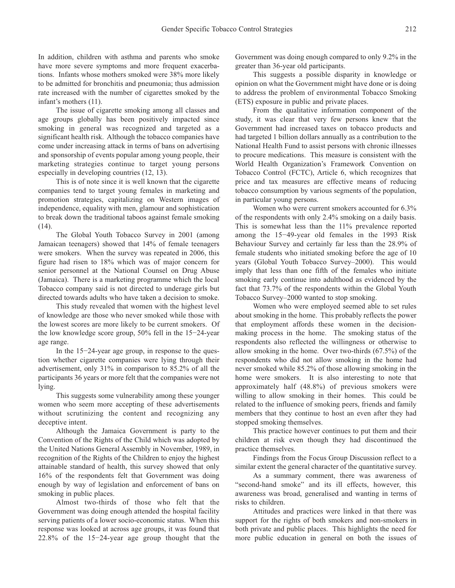In addition, children with asthma and parents who smoke have more severe symptoms and more frequent exacerbations. Infants whose mothers smoked were 38% more likely to be admitted for bronchitis and pneumonia; thus admission rate increased with the number of cigarettes smoked by the infant's mothers (11).

The issue of cigarette smoking among all classes and age groups globally has been positively impacted since smoking in general was recognized and targeted as a significant health risk. Although the tobacco companies have come under increasing attack in terms of bans on advertising and sponsorship of events popular among young people, their marketing strategies continue to target young persons especially in developing countries (12, 13).

This is of note since it is well known that the cigarette companies tend to target young females in marketing and promotion strategies, capitalizing on Western images of independence, equality with men, glamour and sophistication to break down the traditional taboos against female smoking (14).

The Global Youth Tobacco Survey in 2001 (among Jamaican teenagers) showed that 14% of female teenagers were smokers. When the survey was repeated in 2006, this figure had risen to 18% which was of major concern for senior personnel at the National Counsel on Drug Abuse (Jamaica). There is a marketing programme which the local Tobacco company said is not directed to underage girls but directed towards adults who have taken a decision to smoke.

This study revealed that women with the highest level of knowledge are those who never smoked while those with the lowest scores are more likely to be current smokers. Of the low knowledge score group, 50% fell in the 15−24-year age range.

In the 15−24-year age group, in response to the question whether cigarette companies were lying through their advertisement, only 31% in comparison to 85.2% of all the participants 36 years or more felt that the companies were not lying.

This suggests some vulnerability among these younger women who seem more accepting of these advertisements without scrutinizing the content and recognizing any deceptive intent.

Although the Jamaica Government is party to the Convention of the Rights of the Child which was adopted by the United Nations General Assembly in November, 1989, in recognition of the Rights of the Children to enjoy the highest attainable standard of health, this survey showed that only 16% of the respondents felt that Government was doing enough by way of legislation and enforcement of bans on smoking in public places.

Almost two-thirds of those who felt that the Government was doing enough attended the hospital facility serving patients of a lower socio-economic status. When this response was looked at across age groups, it was found that 22.8% of the 15−24-year age group thought that the

Government was doing enough compared to only 9.2% in the greater than 36-year old participants.

This suggests a possible disparity in knowledge or opinion on what the Government might have done or is doing to address the problem of environmental Tobacco Smoking (ETS) exposure in public and private places.

From the qualitative information component of the study, it was clear that very few persons knew that the Government had increased taxes on tobacco products and had targeted 1 billion dollars annually as a contribution to the National Health Fund to assist persons with chronic illnesses to procure medications. This measure is consistent with the World Health Organization's Framework Convention on Tobacco Control (FCTC), Article 6, which recognizes that price and tax measures are effective means of reducing tobacco consumption by various segments of the population, in particular young persons.

Women who were current smokers accounted for 6.3% of the respondents with only 2.4% smoking on a daily basis. This is somewhat less than the 11% prevalence reported among the 15−49-year old females in the 1993 Risk Behaviour Survey and certainly far less than the 28.9% of female students who initiated smoking before the age of 10 years (Global Youth Tobacco Survey–2000). This would imply that less than one fifth of the females who initiate smoking early continue into adulthood as evidenced by the fact that 73.7% of the respondents within the Global Youth Tobacco Survey–2000 wanted to stop smoking.

Women who were employed seemed able to set rules about smoking in the home. This probably reflects the power that employment affords these women in the decisionmaking process in the home. The smoking status of the respondents also reflected the willingness or otherwise to allow smoking in the home. Over two-thirds (67.5%) of the respondents who did not allow smoking in the home had never smoked while 85.2% of those allowing smoking in the home were smokers. It is also interesting to note that approximately half (48.8%) of previous smokers were willing to allow smoking in their homes. This could be related to the influence of smoking peers, friends and family members that they continue to host an even after they had stopped smoking themselves.

This practice however continues to put them and their children at risk even though they had discontinued the practice themselves.

Findings from the Focus Group Discussion reflect to a similar extent the general character of the quantitative survey.

As a summary comment, there was awareness of "second-hand smoke" and its ill effects, however, this awareness was broad, generalised and wanting in terms of risks to children.

Attitudes and practices were linked in that there was support for the rights of both smokers and non-smokers in both private and public places. This highlights the need for more public education in general on both the issues of